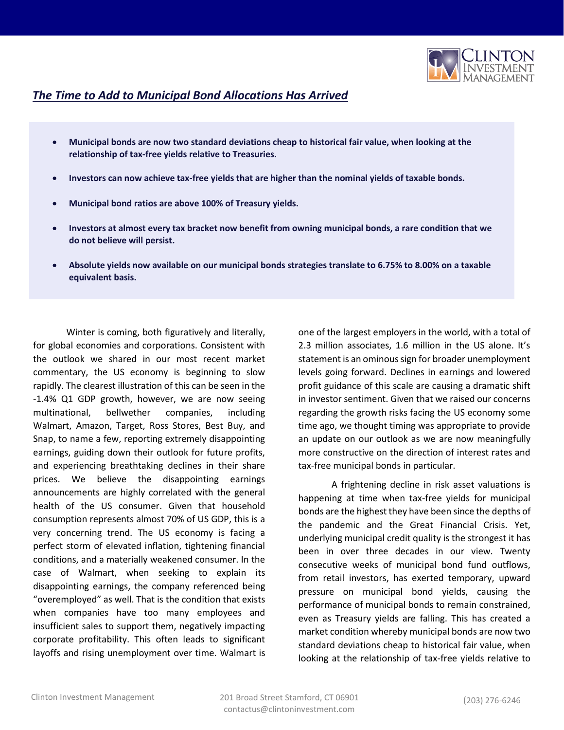

## *The Time to Add to Municipal Bond Allocations Has Arrived*

- **Municipal bonds are now two standard deviations cheap to historical fair value, when looking at the relationship of tax-free yields relative to Treasuries.**
- **Investors can now achieve tax-free yields that are higher than the nominal yields of taxable bonds.**
- **Municipal bond ratios are above 100% of Treasury yields.**
- **Investors at almost every tax bracket now benefit from owning municipal bonds, a rare condition that we do not believe will persist.**
- **Absolute yields now available on our municipal bonds strategies translate to 6.75% to 8.00% on a taxable equivalent basis.**

Winter is coming, both figuratively and literally, for global economies and corporations. Consistent with the outlook we shared in our most recent market commentary, the US economy is beginning to slow rapidly. The clearest illustration of this can be seen in the -1.4% Q1 GDP growth, however, we are now seeing multinational, bellwether companies, including Walmart, Amazon, Target, Ross Stores, Best Buy, and Snap, to name a few, reporting extremely disappointing earnings, guiding down their outlook for future profits, and experiencing breathtaking declines in their share prices. We believe the disappointing earnings announcements are highly correlated with the general health of the US consumer. Given that household consumption represents almost 70% of US GDP, this is a very concerning trend. The US economy is facing a perfect storm of elevated inflation, tightening financial conditions, and a materially weakened consumer. In the case of Walmart, when seeking to explain its disappointing earnings, the company referenced being "overemployed" as well. That is the condition that exists when companies have too many employees and insufficient sales to support them, negatively impacting corporate profitability. This often leads to significant layoffs and rising unemployment over time. Walmart is one of the largest employers in the world, with a total of 2.3 million associates, 1.6 million in the US alone. It's statement is an ominous sign for broader unemployment levels going forward. Declines in earnings and lowered profit guidance of this scale are causing a dramatic shift in investor sentiment. Given that we raised our concerns regarding the growth risks facing the US economy some time ago, we thought timing was appropriate to provide an update on our outlook as we are now meaningfully more constructive on the direction of interest rates and tax-free municipal bonds in particular.

A frightening decline in risk asset valuations is happening at time when tax-free yields for municipal bonds are the highest they have been since the depths of the pandemic and the Great Financial Crisis. Yet, underlying municipal credit quality is the strongest it has been in over three decades in our view. Twenty consecutive weeks of municipal bond fund outflows, from retail investors, has exerted temporary, upward pressure on municipal bond yields, causing the performance of municipal bonds to remain constrained, even as Treasury yields are falling. This has created a market condition whereby municipal bonds are now two standard deviations cheap to historical fair value, when looking at the relationship of tax-free yields relative to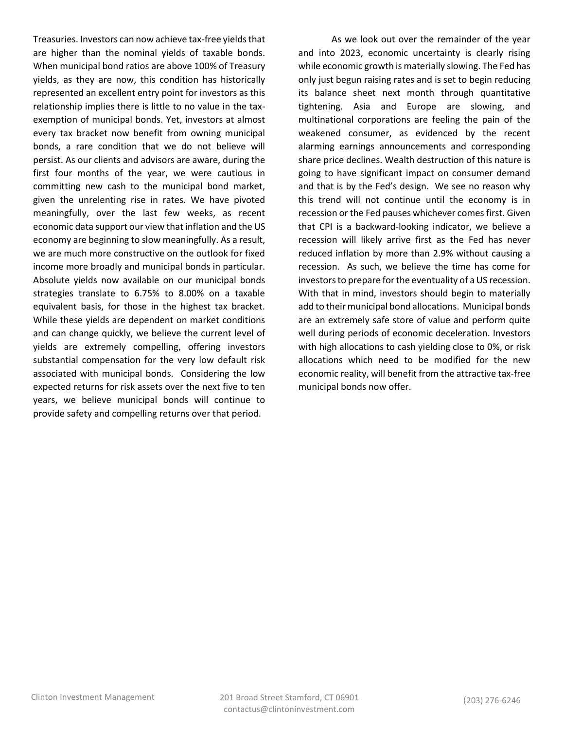Treasuries. Investors can now achieve tax-free yields that are higher than the nominal yields of taxable bonds. When municipal bond ratios are above 100% of Treasury yields, as they are now, this condition has historically represented an excellent entry point for investors as this relationship implies there is little to no value in the taxexemption of municipal bonds. Yet, investors at almost every tax bracket now benefit from owning municipal bonds, a rare condition that we do not believe will persist. As our clients and advisors are aware, during the first four months of the year, we were cautious in committing new cash to the municipal bond market, given the unrelenting rise in rates. We have pivoted meaningfully, over the last few weeks, as recent economic data support our view that inflation and the US economy are beginning to slow meaningfully. As a result, we are much more constructive on the outlook for fixed income more broadly and municipal bonds in particular. Absolute yields now available on our municipal bonds strategies translate to 6.75% to 8.00% on a taxable equivalent basis, for those in the highest tax bracket. While these yields are dependent on market conditions and can change quickly, we believe the current level of yields are extremely compelling, offering investors substantial compensation for the very low default risk associated with municipal bonds. Considering the low expected returns for risk assets over the next five to ten years, we believe municipal bonds will continue to provide safety and compelling returns over that period.

As we look out over the remainder of the year and into 2023, economic uncertainty is clearly rising while economic growth is materially slowing. The Fed has only just begun raising rates and is set to begin reducing its balance sheet next month through quantitative tightening. Asia and Europe are slowing, and multinational corporations are feeling the pain of the weakened consumer, as evidenced by the recent alarming earnings announcements and corresponding share price declines. Wealth destruction of this nature is going to have significant impact on consumer demand and that is by the Fed's design. We see no reason why this trend will not continue until the economy is in recession or the Fed pauses whichever comes first. Given that CPI is a backward-looking indicator, we believe a recession will likely arrive first as the Fed has never reduced inflation by more than 2.9% without causing a recession. As such, we believe the time has come for investors to prepare for the eventuality of a US recession. With that in mind, investors should begin to materially add to their municipal bond allocations. Municipal bonds are an extremely safe store of value and perform quite well during periods of economic deceleration. Investors with high allocations to cash yielding close to 0%, or risk allocations which need to be modified for the new economic reality, will benefit from the attractive tax-free municipal bonds now offer.